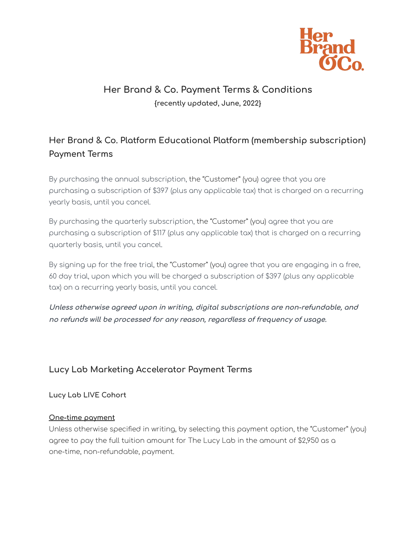

# **Her Brand & Co. Payment Terms & Conditions {recently updated, June, 2022}**

# **Her Brand & Co. Platform Educational Platform (membership subscription) Payment Terms**

By purchasing the annual subscription, the "Customer" (you) agree that you are purchasing a subscription of \$397 (plus any applicable tax) that is charged on a recurring yearly basis, until you cancel.

By purchasing the quarterly subscription, the "Customer" (you) agree that you are purchasing a subscription of \$117 (plus any applicable tax) that is charged on a recurring quarterly basis, until you cancel.

By signing up for the free trial, the "Customer" (you) agree that you are engaging in a free, 60 day trial, upon which you will be charged a subscription of \$397 (plus any applicable tax) on a recurring yearly basis, until you cancel.

**Unless otherwise agreed upon in writing, digital subscriptions are non-refundable, and no refunds will be processed for any reason, regardless of frequency of usage.**

# **Lucy Lab Marketing Accelerator Payment Terms**

**Lucy Lab LIVE Cohort**

### **One-time payment**

Unless otherwise specified in writing, by selecting this payment option, the "Customer" (you) agree to pay the full tuition amount for The Lucy Lab in the amount of \$2,950 as a one-time, non-refundable, payment.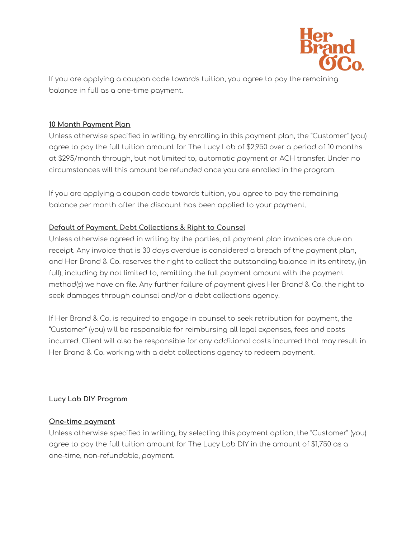

If you are applying a coupon code towards tuition, you agree to pay the remaining balance in full as a one-time payment.

### **10 Month Payment Plan**

Unless otherwise specified in writing, by enrolling in this payment plan, the "Customer" (you) agree to pay the full tuition amount for The Lucy Lab of \$2,950 over a period of 10 months at \$295/month through, but not limited to, automatic payment or ACH transfer. Under no circumstances will this amount be refunded once you are enrolled in the program.

If you are applying a coupon code towards tuition, you agree to pay the remaining balance per month after the discount has been applied to your payment.

### **Default of Payment, Debt Collections & Right to Counsel**

Unless otherwise agreed in writing by the parties, all payment plan invoices are due on receipt. Any invoice that is 30 days overdue is considered a breach of the payment plan, and Her Brand & Co. reserves the right to collect the outstanding balance in its entirety, (in full), including by not limited to, remitting the full payment amount with the payment method(s) we have on file. Any further failure of payment gives Her Brand & Co. the right to seek damages through counsel and/or a debt collections agency.

If Her Brand & Co. is required to engage in counsel to seek retribution for payment, the "Customer" (you) will be responsible for reimbursing all legal expenses, fees and costs incurred. Client will also be responsible for any additional costs incurred that may result in Her Brand & Co. working with a debt collections agency to redeem payment.

### **Lucy Lab DIY Program**

#### **One-time payment**

Unless otherwise specified in writing, by selecting this payment option, the "Customer" (you) agree to pay the full tuition amount for The Lucy Lab DIY in the amount of \$1,750 as a one-time, non-refundable, payment.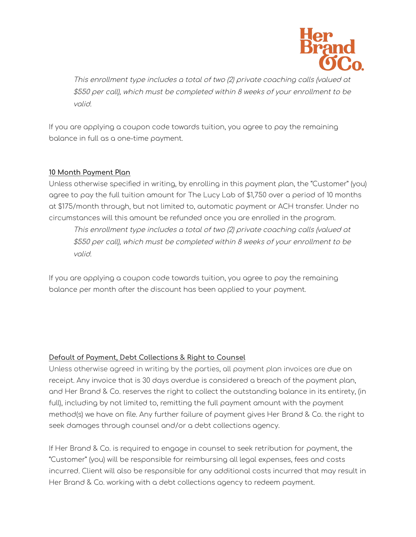

This enrollment type includes a total of two (2) private coaching calls (valued at \$550 per call), which must be completed within 8 weeks of your enrollment to be valid.

If you are applying a coupon code towards tuition, you agree to pay the remaining balance in full as a one-time payment.

#### **10 Month Payment Plan**

Unless otherwise specified in writing, by enrolling in this payment plan, the "Customer" (you) agree to pay the full tuition amount for The Lucy Lab of \$1,750 over a period of 10 months at \$175/month through, but not limited to, automatic payment or ACH transfer. Under no circumstances will this amount be refunded once you are enrolled in the program.

This enrollment type includes a total of two (2) private coaching calls (valued at \$550 per call), which must be completed within 8 weeks of your enrollment to be valid.

If you are applying a coupon code towards tuition, you agree to pay the remaining balance per month after the discount has been applied to your payment.

### **Default of Payment, Debt Collections & Right to Counsel**

Unless otherwise agreed in writing by the parties, all payment plan invoices are due on receipt. Any invoice that is 30 days overdue is considered a breach of the payment plan, and Her Brand & Co. reserves the right to collect the outstanding balance in its entirety, (in full), including by not limited to, remitting the full payment amount with the payment method(s) we have on file. Any further failure of payment gives Her Brand & Co. the right to seek damages through counsel and/or a debt collections agency.

If Her Brand & Co. is required to engage in counsel to seek retribution for payment, the "Customer" (you) will be responsible for reimbursing all legal expenses, fees and costs incurred. Client will also be responsible for any additional costs incurred that may result in Her Brand & Co. working with a debt collections agency to redeem payment.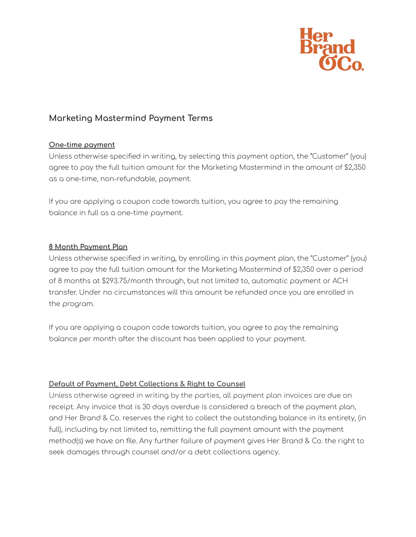

### **Marketing Mastermind Payment Terms**

#### **One-time payment**

Unless otherwise specified in writing, by selecting this payment option, the "Customer" (you) agree to pay the full tuition amount for the Marketing Mastermind in the amount of \$2,350 as a one-time, non-refundable, payment.

If you are applying a coupon code towards tuition, you agree to pay the remaining balance in full as a one-time payment.

#### **8 Month Payment Plan**

Unless otherwise specified in writing, by enrolling in this payment plan, the "Customer" (you) agree to pay the full tuition amount for the Marketing Mastermind of \$2,350 over a period of 8 months at \$293.75/month through, but not limited to, automatic payment or ACH transfer. Under no circumstances will this amount be refunded once you are enrolled in the program.

If you are applying a coupon code towards tuition, you agree to pay the remaining balance per month after the discount has been applied to your payment.

### **Default of Payment, Debt Collections & Right to Counsel**

Unless otherwise agreed in writing by the parties, all payment plan invoices are due on receipt. Any invoice that is 30 days overdue is considered a breach of the payment plan, and Her Brand & Co. reserves the right to collect the outstanding balance in its entirety, (in full), including by not limited to, remitting the full payment amount with the payment method(s) we have on file. Any further failure of payment gives Her Brand & Co. the right to seek damages through counsel and/or a debt collections agency.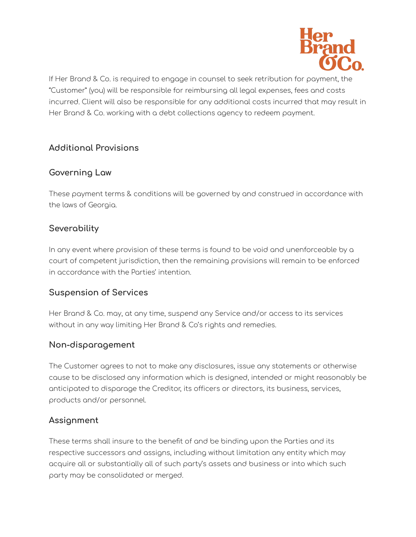

If Her Brand & Co. is required to engage in counsel to seek retribution for payment, the "Customer" (you) will be responsible for reimbursing all legal expenses, fees and costs incurred. Client will also be responsible for any additional costs incurred that may result in Her Brand & Co. working with a debt collections agency to redeem payment.

# **Additional Provisions**

# **Governing Law**

These payment terms & conditions will be governed by and construed in accordance with the laws of Georgia.

# **Severability**

In any event where provision of these terms is found to be void and unenforceable by a court of competent jurisdiction, then the remaining provisions will remain to be enforced in accordance with the Parties' intention.

## **Suspension of Services**

Her Brand & Co. may, at any time, suspend any Service and/or access to its services without in any way limiting Her Brand & Co's rights and remedies.

## **Non-disparagement**

The Customer agrees to not to make any disclosures, issue any statements or otherwise cause to be disclosed any information which is designed, intended or might reasonably be anticipated to disparage the Creditor, its officers or directors, its business, services, products and/or personnel.

## **Assignment**

These terms shall insure to the benefit of and be binding upon the Parties and its respective successors and assigns, including without limitation any entity which may acquire all or substantially all of such party's assets and business or into which such party may be consolidated or merged.